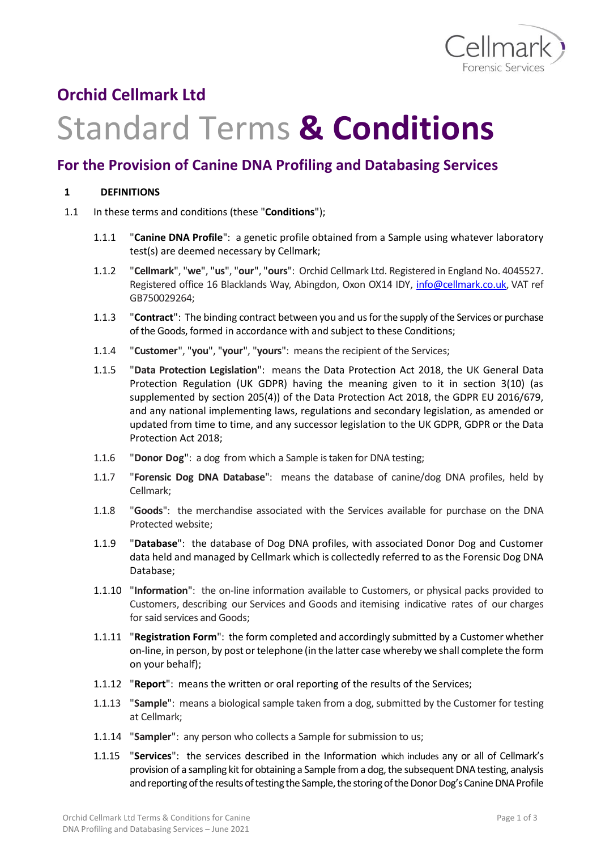

## **Orchid Cellmark Ltd**

## Standard Terms **& Conditions**

## **For the Provision of Canine DNA Profiling and Databasing Services**

## **1 DEFINITIONS**

- 1.1 In these terms and conditions (these "**Conditions**");
	- 1.1.1 "**Canine DNA Profile**": a genetic profile obtained from a Sample using whatever laboratory test(s) are deemed necessary by Cellmark;
	- 1.1.2 "**Cellmark**", "**we**", "**us**", "**our**", "**ours**": Orchid Cellmark Ltd. Registered in England No. 4045527. Registered office 16 Blacklands Way, Abingdon, Oxon OX14 IDY, [info@cellmark.co.uk,](mailto:info@cellmark.co.uk) VAT ref GB750029264;
	- 1.1.3 "**Contract**": The binding contract between you and usfor the supply of the Services or purchase of the Goods, formed in accordance with and subject to these Conditions;
	- 1.1.4 "**Customer**", "**you**", "**your**", "**yours**": means the recipient of the Services;
	- 1.1.5 "**Data Protection Legislation**": means the Data Protection Act 2018, the UK General Data Protection Regulation (UK GDPR) having the meaning given to it in section 3(10) (as supplemented by section 205(4)) of the Data Protection Act 2018, the GDPR EU 2016/679, and any national implementing laws, regulations and secondary legislation, as amended or updated from time to time, and any successor legislation to the UK GDPR, GDPR or the Data Protection Act 2018;
	- 1.1.6 "**Donor Dog**": a dog from which a Sample is taken for DNA testing;
	- 1.1.7 "**Forensic Dog DNA Database**": means the database of canine/dog DNA profiles, held by Cellmark;
	- 1.1.8 "**Goods**": the merchandise associated with the Services available for purchase on the DNA Protected website;
	- 1.1.9 "**Database**": the database of Dog DNA profiles, with associated Donor Dog and Customer data held and managed by Cellmark which is collectedly referred to as the Forensic Dog DNA Database;
	- 1.1.10 "**Information**": the on-line information available to Customers, or physical packs provided to Customers, describing our Services and Goods and itemising indicative rates of our charges for said services and Goods;
	- 1.1.11 "**Registration Form**": the form completed and accordingly submitted by a Customer whether on-line, in person, by post or telephone (in the latter case whereby we shall complete the form on your behalf);
	- 1.1.12 "**Report**": means the written or oral reporting of the results of the Services;
	- 1.1.13 "**Sample**": means a biological sample taken from a dog, submitted by the Customer for testing at Cellmark;
	- 1.1.14 "Sampler": any person who collects a Sample for submission to us;
	- 1.1.15 "**Services**": the services described in the Information which includes any or all of Cellmark's provision of a sampling kit for obtaining a Sample from a dog, the subsequent DNA testing, analysis and reporting of the results of testing the Sample, the storing of the Donor Dog's Canine DNA Profile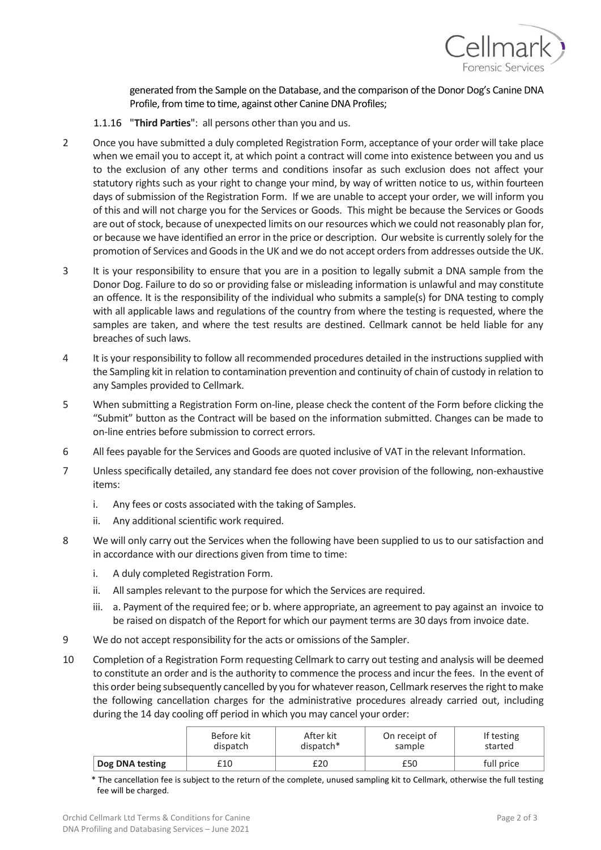

generated from the Sample on the Database, and the comparison of the Donor Dog's Canine DNA Profile, from time to time, against other Canine DNA Profiles;

- 1.1.16 "**Third Parties**": all persons other than you and us.
- 2 Once you have submitted a duly completed Registration Form, acceptance of your order will take place when we email you to accept it, at which point a contract will come into existence between you and us to the exclusion of any other terms and conditions insofar as such exclusion does not affect your statutory rights such as your right to change your mind, by way of written notice to us, within fourteen days of submission of the Registration Form. If we are unable to accept your order, we will inform you of this and will not charge you for the Services or Goods. This might be because the Services or Goods are out of stock, because of unexpected limits on our resources which we could not reasonably plan for, or because we have identified an error in the price or description. Our website is currently solely for the promotion of Services and Goods in the UK and we do not accept orders from addresses outside the UK.
- 3 It is your responsibility to ensure that you are in a position to legally submit a DNA sample from the Donor Dog. Failure to do so or providing false or misleading information is unlawful and may constitute an offence. It is the responsibility of the individual who submits a sample(s) for DNA testing to comply with all applicable laws and regulations of the country from where the testing is requested, where the samples are taken, and where the test results are destined. Cellmark cannot be held liable for any breaches of such laws.
- 4 It is your responsibility to follow all recommended procedures detailed in the instructions supplied with the Sampling kit in relation to contamination prevention and continuity of chain of custody in relation to any Samples provided to Cellmark.
- 5 When submitting a Registration Form on-line, please check the content of the Form before clicking the "Submit" button as the Contract will be based on the information submitted. Changes can be made to on-line entries before submission to correct errors.
- 6 All fees payable for the Services and Goods are quoted inclusive of VAT in the relevant Information.
- 7 Unless specifically detailed, any standard fee does not cover provision of the following, non-exhaustive items:
	- i. Any fees or costs associated with the taking of Samples.
	- ii. Any additional scientific work required.
- 8 We will only carry out the Services when the following have been supplied to us to our satisfaction and in accordance with our directions given from time to time:
	- i. A duly completed Registration Form.
	- ii. All samples relevant to the purpose for which the Services are required.
	- iii. a. Payment of the required fee; or b. where appropriate, an agreement to pay against an invoice to be raised on dispatch of the Report for which our payment terms are 30 days from invoice date.
- 9 We do not accept responsibility for the acts or omissions of the Sampler.
- 10 Completion of a Registration Form requesting Cellmark to carry out testing and analysis will be deemed to constitute an order and is the authority to commence the process and incur the fees. In the event of this order being subsequently cancelled by you for whatever reason, Cellmark reserves the right to make the following cancellation charges for the administrative procedures already carried out, including during the 14 day cooling off period in which you may cancel your order:

|                 | Before kit | After kit   | On receipt of | If testing |
|-----------------|------------|-------------|---------------|------------|
|                 | dispatch   | $dispatch*$ | sample        | started    |
| Dog DNA testing | £10        | £20         | £50           | full price |

\* The cancellation fee is subject to the return of the complete, unused sampling kit to Cellmark, otherwise the full testing fee will be charged.